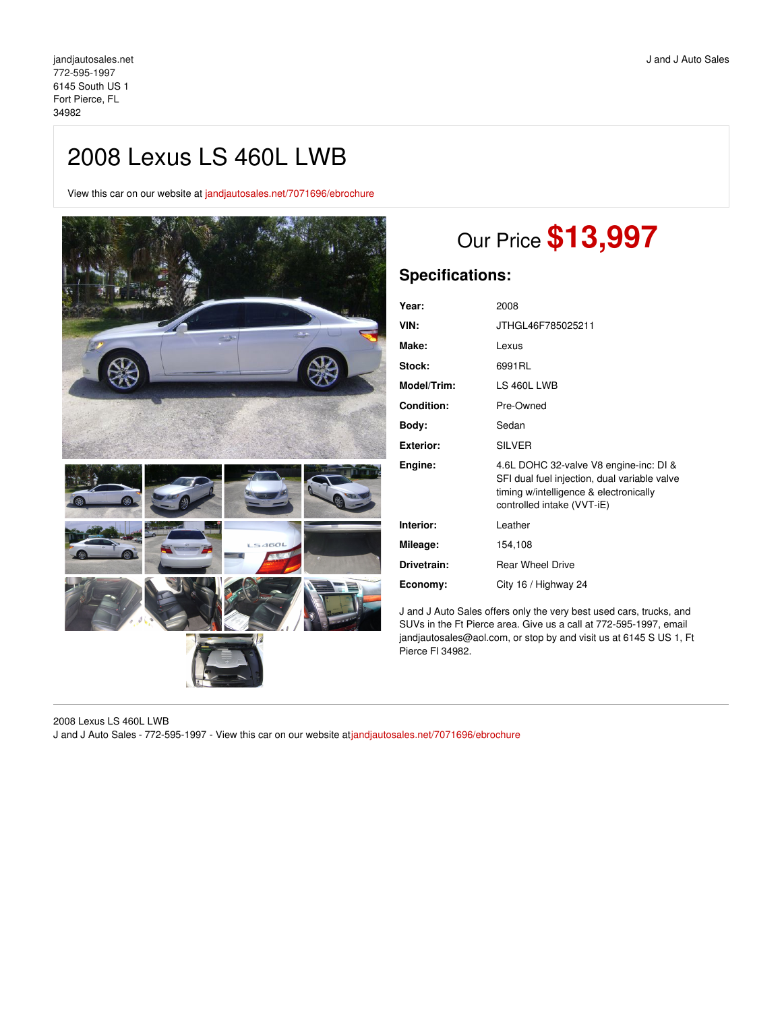## 2008 Lexus LS 460L LWB

View this car on our website at [jandjautosales.net/7071696/ebrochure](https://jandjautosales.net/vehicle/7071696/2008-lexus-ls-460l-lwb-fort-pierce-fl-34982/7071696/ebrochure)



# Our Price **\$13,997**

### **Specifications:**

| Year:              | 2008                                                                                                                                                           |
|--------------------|----------------------------------------------------------------------------------------------------------------------------------------------------------------|
| VIN:               | JTHGL46F785025211                                                                                                                                              |
| Make:              | Lexus                                                                                                                                                          |
| <b>Stock:</b>      | 6991RL                                                                                                                                                         |
| <b>Model/Trim:</b> | LS 460L LWB                                                                                                                                                    |
| Condition:         | Pre-Owned                                                                                                                                                      |
| Body:              | Sedan                                                                                                                                                          |
| Exterior:          | <b>SILVER</b>                                                                                                                                                  |
| Engine:            | 4.6L DOHC 32-valve V8 engine-inc: DI &<br>SFI dual fuel injection, dual variable valve<br>timing w/intelligence & electronically<br>controlled intake (VVT-iE) |
| Interior:          | Leather                                                                                                                                                        |
| Mileage:           | 154,108                                                                                                                                                        |
| Drivetrain:        | <b>Rear Wheel Drive</b>                                                                                                                                        |
| Economy:           | City 16 / Highway 24                                                                                                                                           |

J and J Auto Sales offers only the very best used cars, trucks, and SUVs in the Ft Pierce area. Give us a call at 772-595-1997, email jandjautosales@aol.com, or stop by and visit us at 6145 S US 1, Ft Pierce Fl 34982.

2008 Lexus LS 460L LWB J and J Auto Sales - 772-595-1997 - View this car on our website at[jandjautosales.net/7071696/ebrochure](https://jandjautosales.net/vehicle/7071696/2008-lexus-ls-460l-lwb-fort-pierce-fl-34982/7071696/ebrochure)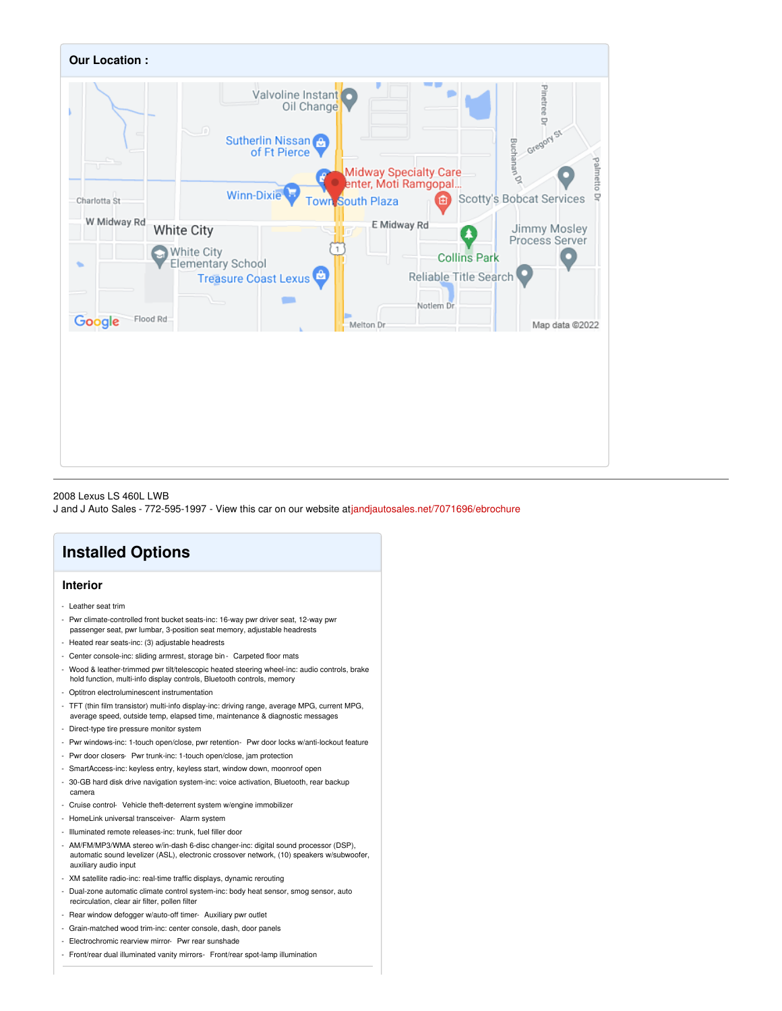

#### 2008 Lexus LS 460L LWB

J and J Auto Sales - 772-595-1997 - View this car on our website at[jandjautosales.net/7071696/ebrochure](https://jandjautosales.net/vehicle/7071696/2008-lexus-ls-460l-lwb-fort-pierce-fl-34982/7071696/ebrochure)

### **Installed Options**

### **Interior**

- Leather seat trim
- Pwr climate-controlled front bucket seats-inc: 16-way pwr driver seat, 12-way pwr passenger seat, pwr lumbar, 3-position seat memory, adjustable headrests
- Heated rear seats-inc: (3) adjustable headrests
- Center console-inc: sliding armrest, storage bin- Carpeted floor mats
- Wood & leather-trimmed pwr tilt/telescopic heated steering wheel-inc: audio controls, brake hold function, multi-info display controls, Bluetooth controls, memory
- Optitron electroluminescent instrumentation
- TFT (thin film transistor) multi-info display-inc: driving range, average MPG, current MPG, average speed, outside temp, elapsed time, maintenance & diagnostic messages
- Direct-type tire pressure monitor system
- Pwr windows-inc: 1-touch open/close, pwr retention- Pwr door locks w/anti-lockout feature
- Pwr door closers- Pwr trunk-inc: 1-touch open/close, jam protection
- SmartAccess-inc: keyless entry, keyless start, window down, moonroof open
- 30-GB hard disk drive navigation system-inc: voice activation, Bluetooth, rear backup camera
- Cruise control- Vehicle theft-deterrent system w/engine immobilizer
- HomeLink universal transceiver- Alarm system
- Illuminated remote releases-inc: trunk, fuel filler door
- AM/FM/MP3/WMA stereo w/in-dash 6-disc changer-inc: digital sound processor (DSP), automatic sound levelizer (ASL), electronic crossover network, (10) speakers w/subwoofer, auxiliary audio input
- XM satellite radio-inc: real-time traffic displays, dynamic rerouting
- Dual-zone automatic climate control system-inc: body heat sensor, smog sensor, auto recirculation, clear air filter, pollen filter
- Rear window defogger w/auto-off timer- Auxiliary pwr outlet
- Grain-matched wood trim-inc: center console, dash, door panels
- Electrochromic rearview mirror- Pwr rear sunshade
- Front/rear dual illuminated vanity mirrors- Front/rear spot-lamp illumination